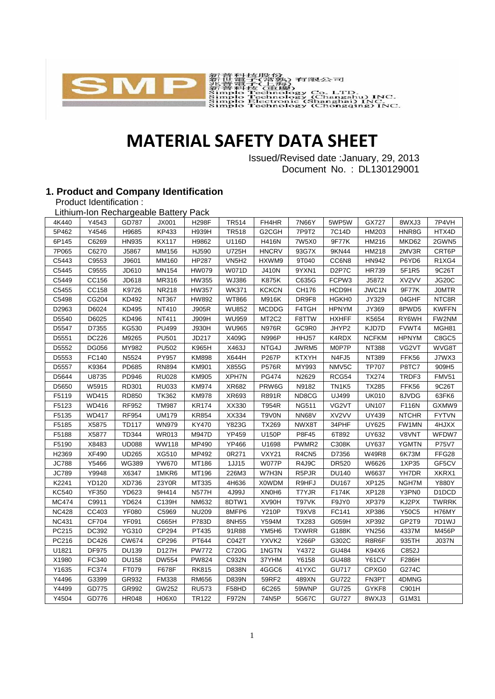

# **MATERIAL SAFETY DATA SHEET**

Issued/Revised date :January, 29, 2013 Document No. : DL130129001

#### **1. Product and Company Identification**

Product Identification :

| Lithium-Ion Rechargeable Battery Pack |              |              |              |                   |              |                                |                   |                                |              |              |              |
|---------------------------------------|--------------|--------------|--------------|-------------------|--------------|--------------------------------|-------------------|--------------------------------|--------------|--------------|--------------|
| 4K440                                 | Y4543        | GD787        | JX001        | <b>H298F</b>      | <b>TR514</b> | FH4HR                          | 7N66Y             | 5WP5W                          | GX727        | 8WXJ3        | 7P4VH        |
| 5P462                                 | Y4546        | H9685        | KP433        | H939H             | <b>TR518</b> | G2CGH                          | 7P9T2             | 7C14D                          | HM203        | HNR8G        | HTX4D        |
| 6P145                                 | C6269        | HN935        | <b>KX117</b> | H9862             | U116D        | <b>H416N</b>                   | 7W5X0             | 9F77K                          | HM216        | MKD62        | 2GWN5        |
| 7P065                                 | C6270        | J5867        | MM156        | HJ590             | U725H        | <b>HNCRV</b>                   | 93G7X             | 9KN44                          | HM218        | 2MV3R        | CRT6P        |
| C5443                                 | C9553        | J9601        | MM160        | <b>HP287</b>      | <b>VN5H2</b> | HXWM9                          | 9T040             | CC6N8                          | <b>HN942</b> | P6YD6        | R1XG4        |
| C5445                                 | C9555        | JD610        | MN154        | <b>HW079</b>      | <b>W071D</b> | <b>J410N</b>                   | 9YXN1             | D <sub>2</sub> P7C             | <b>HR739</b> | 5F1R5        | 9C26T        |
| C5449                                 | CC156        | JD618        | MR316        | HW355             | WJ386        | <b>K875K</b>                   | C635G             | FCPW3                          | J5872        | XV2VV        | JG20C        |
| C5455                                 | CC158        | K9726        | <b>NR218</b> | <b>HW357</b>      | <b>WK371</b> | <b>KCKCN</b>                   | CH176             | HCD <sub>9</sub> H             | JWC1N        | 9F77K        | <b>JOMTR</b> |
| C5498                                 | CG204        | KD492        | NT367        | HW892             | WT866        | M916K                          | DR9F8             | HGKH0                          | JY329        | 04GHF        | NTC8R        |
| D2963                                 | D6024        | KD495        | NT410        | J905R             | <b>WU852</b> | <b>MCDDG</b>                   | F4TGH             | <b>HPNYM</b>                   | JY369        | 8PWD5        | <b>KWFFN</b> |
| D5540                                 | D6025        | KD496        | NT411        | <b>J909H</b>      | <b>WU959</b> | MT <sub>2</sub> C <sub>2</sub> | F8TTW             | <b>HXHFF</b>                   | K5654        | RY6WH        | FW2NM        |
| D5547                                 | D7355        | KG530        | <b>PU499</b> | J930H             | <b>WU965</b> | <b>N976R</b>                   | GC9R0             | JHYP2                          | KJD7D        | FVWT4        | MGH81        |
| D5551                                 | DC226        | M9265        | <b>PU501</b> | JD217             | X409G        | N996P                          | HHJ57             | K4RDX                          | <b>NCFKM</b> | <b>HPNYM</b> | C8GC5        |
| D5552                                 | DG056        | MY982        | <b>PU502</b> | K965H             | X463J        | NTG4J                          | JWRM5             | M0P7P                          | <b>NT388</b> | VG2VT        | WVG8T        |
| D5553                                 | FC140        | N5524        | PY957        | <b>KM898</b>      | X644H        | P267P                          | <b>KTXYH</b>      | N4FJ5                          | NT389        | FFK56        | J7WX3        |
| D5557                                 | K9364        | PD685        | <b>RN894</b> | <b>KM901</b>      | X855G        | <b>P576R</b>                   | MY993             | NMV5C                          | <b>TP707</b> | P8TC7        | 909H5        |
| D5644                                 | U8735        | PD946        | <b>RU028</b> | <b>KM905</b>      | XPH7N        | <b>PG474</b>                   | N2629             | RCG54                          | <b>TX274</b> | TRDF3        | <b>FMV51</b> |
| D5650                                 | W5915        | RD301        | <b>RU033</b> | <b>KM974</b>      | XR682        | PRW6G                          | N9182             | TN <sub>1</sub> K <sub>5</sub> | <b>TX285</b> | FFK56        | 9C26T        |
| F5119                                 | <b>WD415</b> | RD850        | <b>TK362</b> | <b>KM978</b>      | XR693        | R891R                          | ND8CG             | UJ499                          | <b>UK010</b> | 8JVDG        | 63FK6        |
| F5123                                 | WD416        | RF952        | <b>TM987</b> | <b>KR174</b>      | XX330        | T954R                          | <b>NG511</b>      | VG2VT                          | <b>UN107</b> | F116N        | GXMW9        |
| F5135                                 | <b>WD417</b> | <b>RF954</b> | <b>UM179</b> | <b>KR854</b>      | XX334        | T9V0N                          | <b>NN68V</b>      | XV2VV                          | UY439        | <b>NTCHR</b> | <b>FYTVN</b> |
| F5185                                 | X5875        | <b>TD117</b> | <b>WN979</b> | KY470             | Y823G        | <b>TX269</b>                   | NWX8T             | 34PHF                          | <b>UY625</b> | FW1MN        | 4HJXX        |
| F5188                                 | X5877        | TD344        | <b>WR013</b> | M947D             | <b>YP459</b> | U150P                          | P8F45             | 6T892                          | UY632        | V8VNT        | WFDW7        |
| F5190                                 | X8483        | <b>UD088</b> | <b>WW118</b> | MP490             | <b>YP466</b> | U1698                          | PWMR <sub>2</sub> | C308K                          | <b>UY637</b> | <b>YGMTN</b> | P75V7        |
| H2369                                 | <b>XF490</b> | <b>UD265</b> | XG510        | MP492             | 0R271        | <b>VXY21</b>                   | R4CN5             | D7356                          | <b>W49R8</b> | 6K73M        | FFG28        |
| <b>JC788</b>                          | Y5466        | <b>WG389</b> | <b>YW670</b> | MT186             | 1JJ15        | <b>W077P</b>                   | R4J9C             | DR520                          | W6626        | 1XP35        | GF5CV        |
| <b>JC789</b>                          | Y9948        | X6347        | 1MKR6        | MT196             | 226M3        | W7H3N                          | R5PJR             | <b>DU140</b>                   | W6637        | YH7DR        | XKRX1        |
| K2241                                 | <b>YD120</b> | XD736        | 23Y0R        | MT335             | 4H636        | X0WDM                          | R9HFJ             | <b>DU167</b>                   | <b>XP125</b> | NGH7M        | Y880Y        |
| <b>KC540</b>                          | <b>YF350</b> | YD623        | 9H414        | <b>N577H</b>      | 4J99J        | XN0H6                          | T7YJR             | F174K                          | <b>XP128</b> | Y3PN0        | D1DCD        |
| <b>MC474</b>                          | C9911        | YD624        | C139H        | <b>NM632</b>      | 8DTW1        | XV90H                          | T97VK             | F9JY0                          | XP379        | KJ2PX        | <b>TWRRK</b> |
| <b>NC428</b>                          | CC403        | <b>YF080</b> | C5969        | <b>NU209</b>      | 8MFP6        | <b>Y210P</b>                   | T9XV8             | FC141                          | XP386        | <b>Y50C5</b> | H76MY        |
| <b>NC431</b>                          | CF704        | <b>YF091</b> | C665H        | P783D             | 8NH55        | Y594M                          | <b>TX283</b>      | G059H                          | XP392        | GP2T9        | 7D1WJ        |
| PC215                                 | DC392        | YG310        | CP294        | PT435             | 91R88        | YM5H6                          | <b>TXWRR</b>      | G188K                          | <b>YN256</b> | 4337M        | M456P        |
| PC216                                 | DC426        | CW674        | CP296        | PT644             | C042T        | YXVK2                          | <b>Y266P</b>      | G302C                          | R8R6F        | 935TH        | <b>J037N</b> |
| U1821                                 | DF975        | <b>DU139</b> | D127H        | <b>PW772</b>      | C720G        | 1NGTN                          | Y4372             | GU484                          | K94X6        | C852J        |              |
| X1980                                 | FC340        | <b>DU158</b> | <b>DW554</b> | <b>PW824</b>      | C932N        | 37YHM                          | Y6158             | <b>GU488</b>                   | Y61CV        | F286H        |              |
| Y1635                                 | FC374        | FT079        | F678F        | <b>RK815</b>      | D838N        | 4GGC6                          | 41YXC             | <b>GU717</b>                   | CPXG0        | G274C        |              |
| Y4496                                 | G3399        | GR932        | FM338        | <b>RM656</b>      | D839N        | 59RF2                          | 489XN             | <b>GU722</b>                   | FN3PT        | 4DMNG        |              |
| Y4499                                 | GD775        | GR992        | GW252        | <b>RU573</b>      | F58HD        | 6C265                          | 59WNP             | <b>GU725</b>                   | GYKF8        | C901H        |              |
| Y4504                                 | GD776        | <b>HR048</b> | H06X0        | TR <sub>122</sub> | F972N        | 74N5P                          | 5G67C             | <b>GU727</b>                   | 8WXJ3        | G1M31        |              |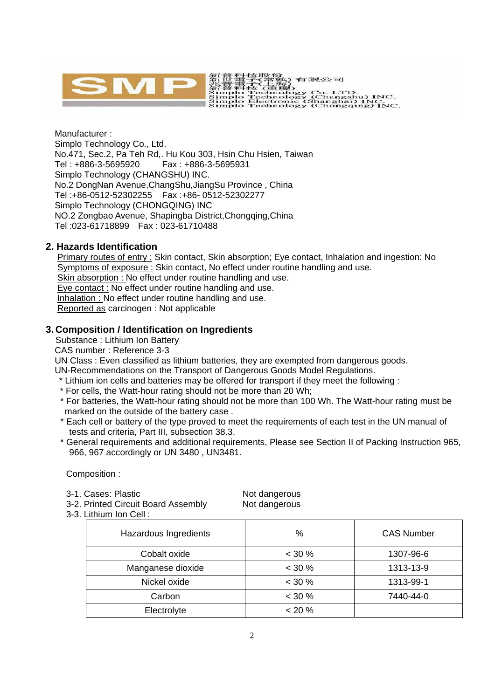

Manufacturer : Simplo Technology Co., Ltd. No.471, Sec.2, Pa Teh Rd,. Hu Kou 303, Hsin Chu Hsien, Taiwan Tel : +886-3-5695920 Fax : +886-3-5695931 Simplo Technology (CHANGSHU) INC. No.2 DongNan Avenue,ChangShu,JiangSu Province , China Tel :+86-0512-52302255 Fax :+86- 0512-52302277 Simplo Technology (CHONGQING) INC NO.2 Zongbao Avenue, Shapingba District,Chongqing,China Tel :023-61718899 Fax : 023-61710488

# **2. Hazards Identification**

Primary routes of entry : Skin contact, Skin absorption; Eye contact, Inhalation and ingestion: No Symptoms of exposure : Skin contact, No effect under routine handling and use. Skin absorption : No effect under routine handling and use. Eye contact : No effect under routine handling and use. Inhalation : No effect under routine handling and use. Reported as carcinogen : Not applicable

# **3. Composition / Identification on Ingredients**

Substance : Lithium Ion Battery

CAS number : Reference 3-3

UN Class : Even classified as lithium batteries, they are exempted from dangerous goods.

UN-Recommendations on the Transport of Dangerous Goods Model Regulations.

- \* Lithium ion cells and batteries may be offered for transport if they meet the following :
- \* For cells, the Watt-hour rating should not be more than 20 Wh;
- \* For batteries, the Watt-hour rating should not be more than 100 Wh. The Watt-hour rating must be marked on the outside of the battery case .
- \* Each cell or battery of the type proved to meet the requirements of each test in the UN manual of tests and criteria, Part III, subsection 38.3.
- \* General requirements and additional requirements, Please see Section II of Packing Instruction 965, 966, 967 accordingly or UN 3480 , UN3481.

Composition :

| 3-1. Cases: Plastic                 | Not dangerous |
|-------------------------------------|---------------|
| 3-2. Printed Circuit Board Assembly | Not dangerous |

3-3. Lithium Ion Cell :

| Hazardous Ingredients | %         | <b>CAS Number</b> |  |  |  |
|-----------------------|-----------|-------------------|--|--|--|
| Cobalt oxide          | $< 30 \%$ | 1307-96-6         |  |  |  |
| Manganese dioxide     | $< 30 \%$ | 1313-13-9         |  |  |  |
| Nickel oxide          | $< 30 \%$ | 1313-99-1         |  |  |  |
| Carbon                | $< 30 \%$ | 7440-44-0         |  |  |  |
| Electrolyte           | $< 20 \%$ |                   |  |  |  |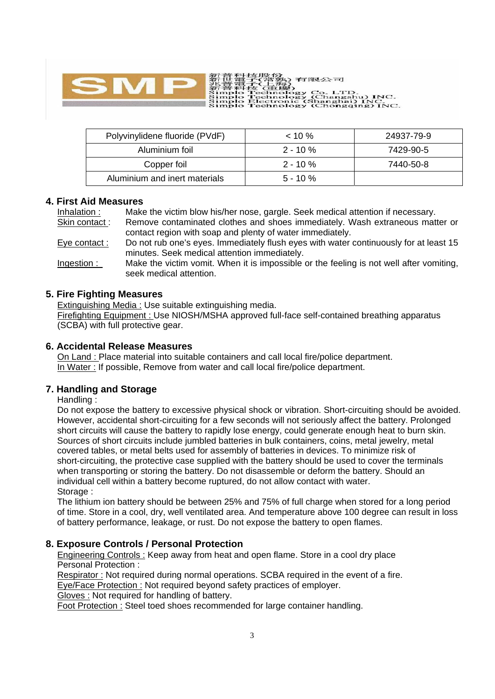

Polyvinylidene fluoride (PVdF) < 10 % 24937-79-9 Aluminium foil 2 - 10 % 7429-90-5 Copper foil 2 - 10 % 7440-50-8 Aluminium and inert materials  $\vert$  5 - 10 %

.<br>(1) 有限公司

Co. LTD.<br>(Changshu) INC.<br>Shanghai) INC.<br>(Chongqing) INC.

#### **4. First Aid Measures**

Inhalation : Make the victim blow his/her nose, gargle. Seek medical attention if necessary. Skin contact : Remove contaminated clothes and shoes immediately. Wash extraneous matter or contact region with soap and plenty of water immediately. Eye contact : Do not rub one's eyes. Immediately flush eyes with water continuously for at least 15 minutes. Seek medical attention immediately. Ingestion : Make the victim vomit. When it is impossible or the feeling is not well after vomiting, seek medical attention.

#### **5. Fire Fighting Measures**

Extinguishing Media : Use suitable extinguishing media.

Firefighting Equipment : Use NIOSH/MSHA approved full-face self-contained breathing apparatus (SCBA) with full protective gear.

#### **6. Accidental Release Measures**

On Land : Place material into suitable containers and call local fire/police department. In Water : If possible, Remove from water and call local fire/police department.

# **7. Handling and Storage**

Handling :

Do not expose the battery to excessive physical shock or vibration. Short-circuiting should be avoided. However, accidental short-circuiting for a few seconds will not seriously affect the battery. Prolonged short circuits will cause the battery to rapidly lose energy, could generate enough heat to burn skin. Sources of short circuits include jumbled batteries in bulk containers, coins, metal jewelry, metal covered tables, or metal belts used for assembly of batteries in devices. To minimize risk of short-circuiting, the protective case supplied with the battery should be used to cover the terminals when transporting or storing the battery. Do not disassemble or deform the battery. Should an individual cell within a battery become ruptured, do not allow contact with water. Storage :

The lithium ion battery should be between 25% and 75% of full charge when stored for a long period of time. Store in a cool, dry, well ventilated area. And temperature above 100 degree can result in loss of battery performance, leakage, or rust. Do not expose the battery to open flames.

# **8. Exposure Controls / Personal Protection**

Engineering Controls : Keep away from heat and open flame. Store in a cool dry place Personal Protection :

Respirator : Not required during normal operations. SCBA required in the event of a fire. Eye/Face Protection : Not required beyond safety practices of employer.

Gloves : Not required for handling of battery.

Foot Protection : Steel toed shoes recommended for large container handling.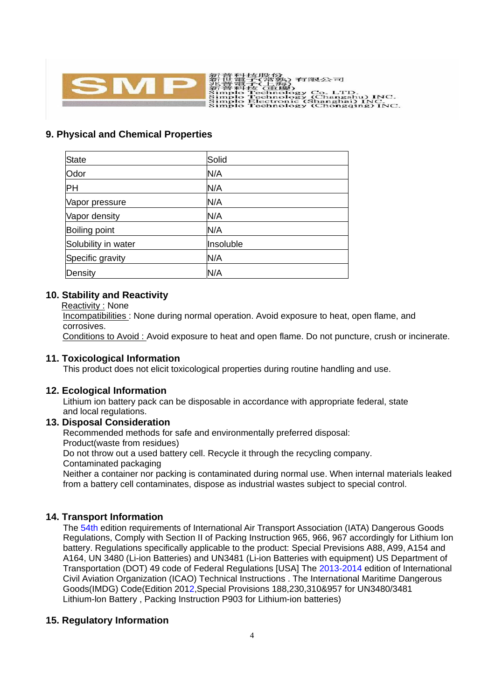

# **9. Physical and Chemical Properties**

| <b>State</b>        | Solid     |  |
|---------------------|-----------|--|
| Odor                | N/A       |  |
| PH                  | N/A       |  |
| Vapor pressure      | N/A       |  |
| Vapor density       | N/A       |  |
| Boiling point       | N/A       |  |
| Solubility in water | Insoluble |  |
| Specific gravity    | N/A       |  |
| Density             | N/A       |  |

#### **10. Stability and Reactivity**

Reactivity : None

Incompatibilities : None during normal operation. Avoid exposure to heat, open flame, and corrosives.

Conditions to Avoid : Avoid exposure to heat and open flame. Do not puncture, crush or incinerate.

#### **11. Toxicological Information**

This product does not elicit toxicological properties during routine handling and use.

#### **12. Ecological Information**

Lithium ion battery pack can be disposable in accordance with appropriate federal, state and local regulations.

# **13. Disposal Consideration**

Recommended methods for safe and environmentally preferred disposal: Product(waste from residues) Do not throw out a used battery cell. Recycle it through the recycling company. Contaminated packaging

Neither a container nor packing is contaminated during normal use. When internal materials leaked from a battery cell contaminates, dispose as industrial wastes subject to special control.

# **14. Transport Information**

The 54th edition requirements of International Air Transport Association (IATA) Dangerous Goods Regulations, Comply with Section II of Packing Instruction 965, 966, 967 accordingly for Lithium Ion battery. Regulations specifically applicable to the product: Special Previsions A88, A99, A154 and A164, UN 3480 (Li-ion Batteries) and UN3481 (Li-ion Batteries with equipment) US Department of Transportation (DOT) 49 code of Federal Regulations [USA] The 2013-2014 edition of International Civil Aviation Organization (ICAO) Technical Instructions . The International Maritime Dangerous Goods(IMDG) Code(Edition 2012,Special Provisions 188,230,310&957 for UN3480/3481 Lithium-lon Battery , Packing Instruction P903 for Lithium-ion batteries)

#### **15. Regulatory Information**